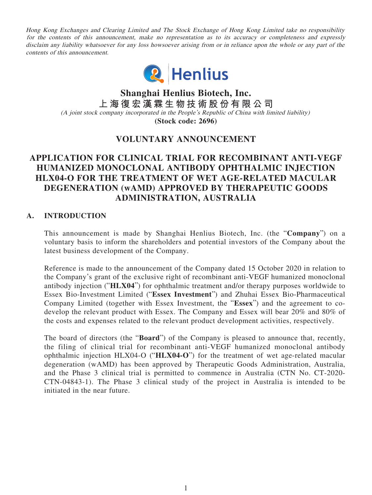Hong Kong Exchanges and Clearing Limited and The Stock Exchange of Hong Kong Limited take no responsibility for the contents of this announcement, make no representation as to its accuracy or completeness and expressly disclaim any liability whatsoever for any loss howsoever arising from or in reliance upon the whole or any part of the contents of this announcement.



**Shanghai Henlius Biotech, Inc. 上海復宏漢霖生物技術股份有限公司** (A joint stock company incorporated in the People's Republic of China with limited liability) **(Stock code: 2696)**

# **VOLUNTARY ANNOUNCEMENT**

# **APPLICATION FOR CLINICAL TRIAL FOR RECOMBINANT ANTI-VEGF HUMANIZED MONOCLONAL ANTIBODY OPHTHALMIC INJECTION HLX04-O FOR THE TREATMENT OF WET AGE-RELATED MACULAR DEGENERATION (wAMD) APPROVED BY THERAPEUTIC GOODS ADMINISTRATION, AUSTRALIA**

## **A. INTRODUCTION**

This announcement is made by Shanghai Henlius Biotech, Inc. (the "**Company**") on a voluntary basis to inform the shareholders and potential investors of the Company about the latest business development of the Company.

Reference is made to the announcement of the Company dated 15 October 2020 in relation to the Company's grant of the exclusive right of recombinant anti-VEGF humanized monoclonal antibody injection ("**HLX04**") for ophthalmic treatment and/or therapy purposes worldwide to Essex Bio-Investment Limited ("**Essex Investment**") and Zhuhai Essex Bio-Pharmaceutical Company Limited (together with Essex Investment, the "**Essex**") and the agreement to codevelop the relevant product with Essex. The Company and Essex will bear 20% and 80% of the costs and expenses related to the relevant product development activities, respectively.

The board of directors (the "**Board**") of the Company is pleased to announce that, recently, the filing of clinical trial for recombinant anti-VEGF humanized monoclonal antibody ophthalmic injection HLX04-O ("**HLX04-O**") for the treatment of wet age-related macular degeneration (wAMD) has been approved by Therapeutic Goods Administration, Australia, and the Phase 3 clinical trial is permitted to commence in Australia (CTN No. CT-2020- CTN-04843-1). The Phase 3 clinical study of the project in Australia is intended to be initiated in the near future.